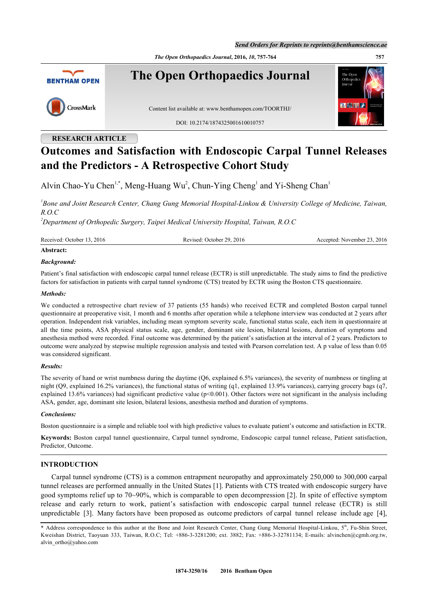*Send Orders for Reprints to reprints@benthamscience.ae*

*The Open Orthopaedics Journal***, 2016,** *10***, 757-764 757**



# **RESEARCH ARTICLE**

# **Outcomes and Satisfaction with Endoscopic Carpal Tunnel Releases and the Predictors - A Retrospective Cohort Study**

Alvin Chao-Yu Chen<sup>[1,](#page-0-0)[\\*](#page-0-1)</sup>, Meng-Huang Wu<sup>[2](#page--1-0)</sup>, Chun-Ying Cheng<sup>[1](#page-0-0)</sup> and Yi-Sheng Chan<sup>1</sup>

<span id="page-0-0"></span>*1 Bone and Joint Research Center, Chang Gung Memorial Hospital-Linkou & University College of Medicine, Taiwan, R.O.C*

*<sup>2</sup>Department of Orthopedic Surgery, Taipei Medical University Hospital, Taiwan, R.O.C*

Received: October 13, 2016 Revised: October 29, 2016 Accepted: November 23, 2016

# **Abstract:**

# *Background:*

Patient's final satisfaction with endoscopic carpal tunnel release (ECTR) is still unpredictable. The study aims to find the predictive factors for satisfaction in patients with carpal tunnel syndrome (CTS) treated by ECTR using the Boston CTS questionnaire.

# *Methods:*

We conducted a retrospective chart review of 37 patients (55 hands) who received ECTR and completed Boston carpal tunnel questionnaire at preoperative visit, 1 month and 6 months after operation while a telephone interview was conducted at 2 years after operation. Independent risk variables, including mean symptom severity scale, functional status scale, each item in questionnaire at all the time points, ASA physical status scale, age, gender, dominant site lesion, bilateral lesions, duration of symptoms and anesthesia method were recorded. Final outcome was determined by the patient's satisfaction at the interval of 2 years. Predictors to outcome were analyzed by stepwise multiple regression analysis and tested with Pearson correlation test. A p value of less than 0.05 was considered significant.

# *Results:*

The severity of hand or wrist numbness during the daytime (Q6, explained 6.5% variances), the severity of numbness or tingling at night (Q9, explained 16.2% variances), the functional status of writing (q1, explained 13.9% variances), carrying grocery bags (q7, explained 13.6% variances) had significant predictive value ( $p$ <0.001). Other factors were not significant in the analysis including ASA, gender, age, dominant site lesion, bilateral lesions, anesthesia method and duration of symptoms.

# *Conclusions:*

Boston questionnaire is a simple and reliable tool with high predictive values to evaluate patient's outcome and satisfaction in ECTR.

**Keywords:** Boston carpal tunnel questionnaire, Carpal tunnel syndrome, Endoscopic carpal tunnel release, Patient satisfaction, Predictor, Outcome.

# **INTRODUCTION**

Carpal tunnel syndrome (CTS) is a common entrapment neuropathy and approximately 250,000 to 300,000 carpal tunnel releases are performed annually in the United States [[1\]](#page-6-0). Patients with CTS treated with endoscopic surgery have good symptoms relief up to 70~90%, which is comparable to open decompression [[2\]](#page-6-1). In spite of effective symptom release and early return to work, patient's satisfaction with endoscopic carpal tunnel release (ECTR) is still unpredictable [\[3](#page-6-2)]. Many factors have been proposed as outcome predictors of carpal tunnel release include age [[4\]](#page-6-3),

<span id="page-0-1"></span><sup>\*</sup> Address correspondence to this author at the Bone and Joint Research Center, Chang Gung Memorial Hospital-Linkou, 5<sup>th</sup>, Fu-Shin Street, Kweishan District, Taoyuan 333, Taiwan, R.O.C; Tel: +886-3-3281200; ext. 3882; Fax: +886-3-32781134; E-mails: [alvinchen@cgmh.org.tw,](mailto:alvinchen@cgmh.org.tw) [alvin\\_ortho@yahoo.com](mailto:alvin_ortho@yahoo.com)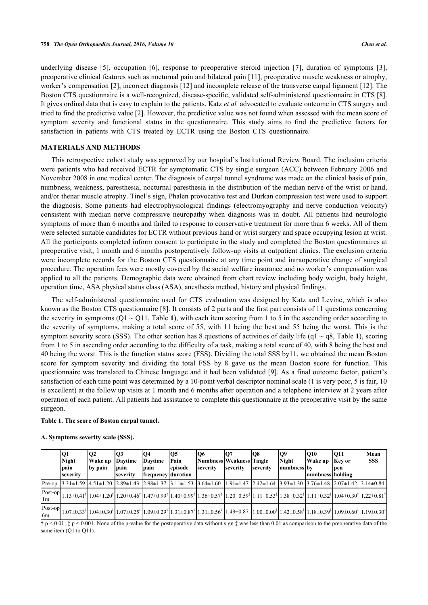underlying disease[[5\]](#page-6-4), occupation[[6](#page-6-5)], response to preoperative steroid injection[[7\]](#page-6-6), duration of symptoms[[3\]](#page-6-2), preoperative clinical features such as nocturnal pain and bilateral pain [[11\]](#page-6-7), preoperative muscle weakness or atrophy, worker's compensation [\[2](#page-6-1)], incorrect diagnosis [[12\]](#page-6-8) and incomplete release of the transverse carpal ligament [\[12](#page-6-8)]. The Boston CTS questionnaire is a well-recognized, disease-specific, validated self-administered questionnaire in CTS [[8\]](#page-6-9). It gives ordinal data that is easy to explain to the patients. Katz *et al.* advocated to evaluate outcome in CTS surgery and tried to find the predictive value [\[2](#page-6-1)]. However, the predictive value was not found when assessed with the mean score of symptom severity and functional status in the questionnaire. This study aims to find the predictive factors for satisfaction in patients with CTS treated by ECTR using the Boston CTS questionnaire.

# **MATERIALS AND METHODS**

This retrospective cohort study was approved by our hospital's Institutional Review Board. The inclusion criteria were patients who had received ECTR for symptomatic CTS by single surgeon (ACC) between February 2006 and November 2008 in one medical center. The diagnosis of carpal tunnel syndrome was made on the clinical basis of pain, numbness, weakness, paresthesia, nocturnal paresthesia in the distribution of the median nerve of the wrist or hand, and/or thenar muscle atrophy. Tinel's sign, Phalen provocative test and Durkan compression test were used to support the diagnosis. Some patients had electrophysiological findings (electromyography and nerve conduction velocity) consistent with median nerve compressive neuropathy when diagnosis was in doubt. All patients had neurologic symptoms of more than 6 months and failed to response to conservative treatment for more than 6 weeks. All of them were selected suitable candidates for ECTR without previous hand or wrist surgery and space occupying lesion at wrist. All the participants completed inform consent to participate in the study and completed the Boston questionnaires at preoperative visit, 1 month and 6 months postoperatively follow-up visits at outpatient clinics. The exclusion criteria were incomplete records for the Boston CTS questionnaire at any time point and intraoperative change of surgical procedure. The operation fees were mostly covered by the social welfare insurance and no worker's compensation was applied to all the patients. Demographic data were obtained from chart review including body weight, body height, operation time, ASA physical status class (ASA), anesthesia method, history and physical findings.

The self-administered questionnaire used for CTS evaluation was designed by Katz and Levine, which is also known as the Boston CTS questionnaire [[8](#page-6-9)]. It consists of 2 parts and the first part consists of 11 questions concerning the severity in symptoms  $(Q1 \sim Q11$  $(Q1 \sim Q11$  $(Q1 \sim Q11$ , Table 1), with each item scoring from 1 to 5 in the ascending order according to the severity of symptoms, making a total score of 55, with 11 being the best and 55 being the worst. This is the symptom severity score (SSS). The other section has 8 questions of activities of daily life (q[1](#page--1-0)  $\sim$  q8, Table 1), scoring from 1 to 5 in ascending order according to the difficulty of a task, making a total score of 40, with 8 being the best and 40 being the worst. This is the function status score (FSS). Dividing the total SSS by11, we obtained the mean Boston score for symptom severity and dividing the total FSS by 8 gave us the mean Boston score for function. This questionnaire was translated to Chinese language and it had been validated [\[9\]](#page-6-10). As a final outcome factor, patient's satisfaction of each time point was determined by a 10-point verbal descriptor nominal scale (1 is very poor, 5 is fair, 10 is excellent) at the follow up visits at 1 month and 6 months after operation and a telephone interview at 2 years after operation of each patient. All patients had assistance to complete this questionnaire at the preoperative visit by the same surgeon.

#### **Table 1. The score of Boston carpal tunnel.**

|                 | Q1<br><b>Night</b><br> pain<br>severity | 02<br>Wake up<br>by pain | IO3<br>Davtime<br>pain<br>severity | 104<br>Davtime<br>Ipain<br><b>frequency duration</b> | IQ5<br>Pain<br>lepisode | lO6<br>Numbness Weakness Tingle<br>severity                                                                                                                                                                                                                                                                                                                                   | Ю.<br><b>severity</b> | IO8<br><b>severity</b> | Q9<br><b>Night</b><br>numbness lby | <sub>O10</sub><br>Wake up<br>Inumbness   holding | <b>011</b><br>Key or<br> pen | Mean<br><b>SSS</b> |
|-----------------|-----------------------------------------|--------------------------|------------------------------------|------------------------------------------------------|-------------------------|-------------------------------------------------------------------------------------------------------------------------------------------------------------------------------------------------------------------------------------------------------------------------------------------------------------------------------------------------------------------------------|-----------------------|------------------------|------------------------------------|--------------------------------------------------|------------------------------|--------------------|
| Pre-op          |                                         |                          |                                    |                                                      |                         | $3.31\pm1.59$ $4.51\pm1.20$ $2.89\pm1.43$ $2.98\pm1.37$ $3.11\pm1.53$ $3.64\pm1.60$ $1.91\pm1.47$ $2.42\pm1.64$ $3.93\pm1.30$ $3.76\pm1.48$ $2.07\pm1.42$ $3.14\pm0.84$                                                                                                                                                                                                       |                       |                        |                                    |                                                  |                              |                    |
| ∣lm             |                                         |                          |                                    |                                                      |                         | $\left[\frac{\text{Post-op}}{1.13\pm0.41^*}\right]_{1.04\pm1.20^*}\left[1.20\pm0.46^*\right]_{1.47\pm0.99^*}\left[1.40\pm0.99^*\right]_{1.36\pm0.57^*}\left[1.20\pm0.59^*\right]_{1.11\pm0.53^*}\left[1.11\pm0.53^*\right]_{1.38\pm0.32^*}\left[1.11\pm0.32^*\right]_{1.04\pm0.30^*}\left[1.22\pm0.81^*\right]_{1.04\pm0.30^*}\$                                              |                       |                        |                                    |                                                  |                              |                    |
| Post-op.<br>l6m |                                         |                          |                                    |                                                      |                         | $1.07\pm0.33^{\ddagger}\left1.04\pm0.30^{\ddagger}\right1.07\pm0.25^{\ddagger}\left1.09\pm0.29^{\ddagger}\right1.31\pm0.87^{\ddagger}\left1.31\pm0.56^{\ddagger}\right1.49\pm0.87$ $\left[1.00\pm0.00^{\ddagger}\right]1.42\pm0.58^{\ddagger}\left1.18\pm0.39^{\ddagger}\right1.19\pm0.60^{\ddagger}\left1.19\pm0.30^{\ddagger}\right1.09\pm0.60^{\ddagger}\left1.19\pm0.30^$ |                       |                        |                                    |                                                  |                              |                    |

#### **A. Symptoms severity scale (SSS).**

 $\dagger$  p < 0.01;  $\ddagger$  p < 0.001. None of the p-value for the postoperative data without sign  $\ddagger$  was less than 0.01 as comparison to the preoperative data of the same item (Q1 to Q11).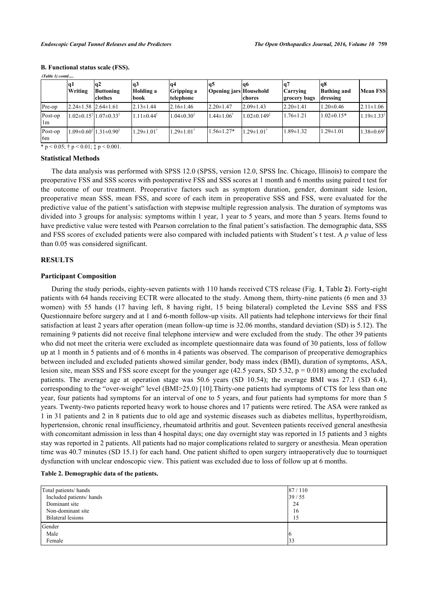| (1 аріе 1) сопіа |                                  |                                                                                                         |                             |                                |                               |                             |                                 |                                       |                            |
|------------------|----------------------------------|---------------------------------------------------------------------------------------------------------|-----------------------------|--------------------------------|-------------------------------|-----------------------------|---------------------------------|---------------------------------------|----------------------------|
|                  | q1<br>Writing                    | lq2<br><b>Buttoning</b><br>lclothes                                                                     | lq3<br>Holding a<br>lbook   | lq4<br>Gripping a<br>telephone | lq5<br>Opening jars Household | la6<br>chores               | <b>Carrying</b><br>grocery bags | lq8<br><b>Bathing and</b><br>dressing | <b>Mean FSS</b>            |
| Pre-op           | $2.24 \pm 1.58$ $12.64 \pm 1.61$ |                                                                                                         | $2.13 \pm 1.44$             | $2.16 \pm 1.46$                | $2.20 \pm 1.47$               | $2.09 \pm 1.43$             | $2.20 \pm 1.41$                 | $1.20 \pm 0.46$                       | $2.11 \pm 1.06$            |
| Post-op<br>l Im  |                                  | $1.02 \pm 0.15$ <sup><math>\frac{1}{2}</math></sup> $1.07 \pm 0.33$ <sup><math>\frac{1}{2}</math></sup> | $11 \pm 0.44^3$             | $1.04 \pm 0.30^{\ddagger}$     | $1.44 \pm 1.06^{\dagger}$     | $1.02 \pm 0.149^{\ddagger}$ | $1.76 \pm 1.21$                 | $1.02 \pm 0.15*$                      | $1.19 \pm 1.33^{\ddagger}$ |
| Post-op<br>6m    |                                  | $1.09 \pm 0.60^{\frac{1}{3}} 1.31 \pm 0.90^{\frac{1}{3}}$                                               | $.29 \pm 1.01$ <sup>1</sup> | $.29 \pm 1.01$ <sup>†</sup>    | $1.56 \pm 1.27*$              | $1.29 \pm 1.01^{\dagger}$   | $1.89 \pm 1.32$                 | $1.29 \pm 1.01$                       | $1.38 \pm 0.69^{\ddagger}$ |
|                  |                                  | * $p < 0.05$ ; † $p < 0.01$ ; $\pm p < 0.001$ .                                                         |                             |                                |                               |                             |                                 |                                       |                            |

## **B. Functional status scale (FSS).**

*(Table 1) contd.....*

#### **Statistical Methods**

The data analysis was performed with SPSS 12.0 (SPSS, version 12.0, SPSS Inc. Chicago, Illinois) to compare the preoperative FSS and SSS scores with postoperative FSS and SSS scores at 1 month and 6 months using paired t test for the outcome of our treatment. Preoperative factors such as symptom duration, gender, dominant side lesion, preoperative mean SSS, mean FSS, and score of each item in preoperative SSS and FSS, were evaluated for the predictive value of the patient's satisfaction with stepwise multiple regression analysis. The duration of symptoms was divided into 3 groups for analysis: symptoms within 1 year, 1 year to 5 years, and more than 5 years. Items found to have predictive value were tested with Pearson correlation to the final patient's satisfaction. The demographic data, SSS and FSS scores of excluded patients were also compared with included patients with Student's t test. A *p* value of less than 0.05 was considered significant.

## **RESULTS**

## **Participant Composition**

During the study periods, eighty-seven patients with 110 hands received CTS release (Fig. **[1](#page-3-0)**, Table **[2](#page-2-0)**). Forty-eight patients with 64 hands receiving ECTR were allocated to the study. Among them, thirty-nine patients (6 men and 33 women) with 55 hands (17 having left, 8 having right, 15 being bilateral) completed the Levine SSS and FSS Questionnaire before surgery and at 1 and 6-month follow-up visits. All patients had telephone interviews for their final satisfaction at least 2 years after operation (mean follow-up time is 32.06 months, standard deviation (SD) is 5.12). The remaining 9 patients did not receive final telephone interview and were excluded from the study. The other 39 patients who did not meet the criteria were excluded as incomplete questionnaire data was found of 30 patients, loss of follow up at 1 month in 5 patients and of 6 months in 4 patients was observed. The comparison of preoperative demographics between included and excluded patients showed similar gender, body mass index (BMI), duration of symptoms, ASA, lesion site, mean SSS and FSS score except for the younger age  $(42.5 \text{ years}, SD 5.32, p = 0.018)$  among the excluded patients. The average age at operation stage was 50.6 years (SD 10.54); the average BMI was 27.1 (SD 6.4), corresponding to the "over-weight" level (BMI>25.0) [\[10](#page-6-11)].Thirty-one patients had symptoms of CTS for less than one year, four patients had symptoms for an interval of one to 5 years, and four patients had symptoms for more than 5 years. Twenty-two patients reported heavy work to house chores and 17 patients were retired. The ASA were ranked as 1 in 31 patients and 2 in 8 patients due to old age and systemic diseases such as diabetes mellitus, hyperthyroidism, hypertension, chronic renal insufficiency, rheumatoid arthritis and gout. Seventeen patients received general anesthesia with concomitant admission in less than 4 hospital days; one day overnight stay was reported in 15 patients and 3 nights stay was reported in 2 patients. All patients had no major complications related to surgery or anesthesia. Mean operation time was 40.7 minutes (SD 15.1) for each hand. One patient shifted to open surgery intraoperatively due to tourniquet dysfunction with unclear endoscopic view. This patient was excluded due to loss of follow up at 6 months.

#### <span id="page-2-0"></span>**Table 2. Demographic data of the patients.**

| Total patients/hands     | 87/110 |
|--------------------------|--------|
| Included patients/ hands | 39/55  |
| Dominant site            | 24     |
| Non-dominant site        | 16     |
| <b>Bilateral lesions</b> | 15     |
| Gender<br>Male<br>Female | 33     |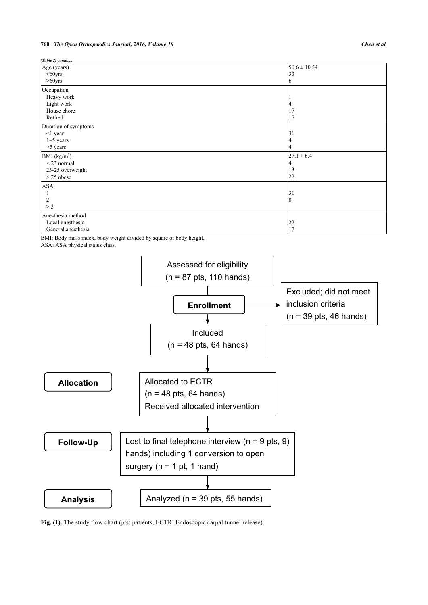## **760** *The Open Orthopaedics Journal, 2016, Volume 10 Chen et al.*

*(Table 2) contd.....*

| Age (years)              | $50.6 \pm 10.54$ |
|--------------------------|------------------|
| $60yrs$                  | 33               |
| $>60$ yrs                | 6                |
| Occupation               |                  |
| Heavy work               |                  |
| Light work               |                  |
| House chore              | 17               |
| Retired                  | 17               |
| Duration of symptoms     |                  |
| $<$ 1 year               | 31               |
| $1 - 5$ years            |                  |
| $>5$ years               |                  |
| BMI (kg/m <sup>2</sup> ) | $27.1 \pm 6.4$   |
| $<$ 23 normal            |                  |
| 23-25 overweight         | 13               |
| $>$ 25 obese             | 22               |
| <b>ASA</b>               |                  |
|                          | 31               |
| 2                        | 8                |
| > 3                      |                  |
| Anesthesia method        |                  |
| Local anesthesia         | 22               |
| General anesthesia       | 17               |

BMI: Body mass index, body weight divided by square of body height.

ASA: ASA physical status class.

<span id="page-3-0"></span>

**Fig. (1).** The study flow chart (pts: patients, ECTR: Endoscopic carpal tunnel release).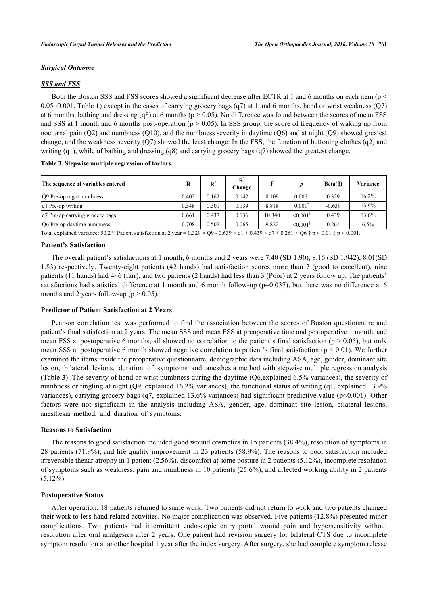# *Surgical Outcome*

# *SSS and FSS*

Both the Boston SSS and FSS scores showed a significant decrease after ECTR at 1 and 6 months on each item ( $p <$ 0.05~0.001, Table **[1](#page--1-0)**) except in the cases of carrying grocery bags (q7) at 1 and 6 months, hand or wrist weakness (Q7) at 6 months, bathing and dressing (q8) at 6 months ( $p > 0.05$ ). No difference was found between the scores of mean FSS and SSS at 1 month and 6 months post-operation ( $p > 0.05$ ). In SSS group, the score of frequency of waking up from nocturnal pain  $(O2)$  and numbness  $(O10)$ , and the numbness severity in daytime  $(O6)$  and at night  $(O9)$  showed greatest change, and the weakness severity  $(Q7)$  showed the least change. In the FSS, the function of buttoning clothes  $(q2)$  and writing (q1), while of bathing and dressing (q8) and carrying grocery bags (q7) showed the greatest change.

# <span id="page-4-0"></span>**Table 3. Stepwise multiple regression of factors.**

| The sequence of variables entered |       | $\mathbf{R}^2$ | $\mathbf{R}^2$<br>Change | F      |                           | Beta(B)  | Variance |
|-----------------------------------|-------|----------------|--------------------------|--------|---------------------------|----------|----------|
| Q9 Pre-op night numbness          | 0.402 | 0.162          | 0.142                    | 8.109  | 0.007                     | 0.329    | 16.2%    |
| q1 Pre-op writing                 |       | 0.301          | 0.139                    | 8.818  | $0.001$ <sup>1</sup>      | $-0.639$ | 13.9%    |
| q7 Pre-op carrying grocery bags   | 0.661 | 0.437          | 0.136                    | 10.340 | $\leq 0.001^{\ddagger}$   | 0.439    | 13.6%    |
| O6 Pre-op daytime numbness        |       | 0.502          | 0.065                    | 9.822  | $\leq 0.001$ <sup>*</sup> | 0.261    | 6.5%     |

Total explained variance:  $50.2\%$  Patient satisfaction at 2 year =  $0.329 \times Q9 - 0.639 \times q1 + 0.439 \times q7 + 0.261 \times Q6 \dagger p \le 0.01 \ddagger p \le 0.001$ .

# **Patient's Satisfaction**

The overall patient's satisfactions at 1 month, 6 months and 2 years were 7.40 (SD 1.90), 8.16 (SD 1.942), 8.01(SD 1.83) respectively. Twenty-eight patients (42 hands) had satisfaction scores more than 7 (good to excellent), nine patients (11 hands) had 4~6 (fair), and two patients (2 hands) had less than 3 (Poor) at 2 years follow up. The patients' satisfactions had statistical difference at 1 month and 6 month follow-up ( $p=0.037$ ), but there was no difference at 6 months and 2 years follow-up ( $p > 0.05$ ).

## **Predictor of Patient Satisfaction at 2 Years**

Pearson correlation test was performed to find the association between the scores of Boston questionnaire and patient's final satisfaction at 2 years. The mean SSS and mean FSS at preoperative time and postoperative 1 month, and mean FSS at postoperative 6 months, all showed no correlation to the patient's final satisfaction ( $p > 0.05$ ), but only mean SSS at postoperative 6 month showed negative correlation to patient's final satisfaction ( $p < 0.01$ ). We further examined the items inside the preoperative questionnaire, demographic data including ASA, age, gender, dominant site lesion, bilateral lesions, duration of symptoms and anesthesia method with stepwise multiple regression analysis (Table **[3](#page-4-0)**). The severity of hand or wrist numbness during the daytime (Q6,explained 6.5% variances), the severity of numbness or tingling at night (Q9, explained 16.2% variances), the functional status of writing (q1, explained 13.9% variances), carrying grocery bags (q7, explained 13.6% variances) had significant predictive value (p<0.001). Other factors were not significant in the analysis including ASA, gender, age, dominant site lesion, bilateral lesions, anesthesia method, and duration of symptoms.

## **Reasons to Satisfaction**

The reasons to good satisfaction included good wound cosmetics in 15 patients (38.4%), resolution of symptoms in 28 patients (71.9%), and life quality improvement in 23 patients (58.9%). The reasons to poor satisfaction included irreversible thenar atrophy in 1 patient (2.56%), discomfort at some posture in 2 patients (5.12%), incomplete resolution of symptoms such as weakness, pain and numbness in 10 patients (25.6%), and affected working ability in 2 patients  $(5.12\%)$ .

## **Postoperative Status**

After operation, 18 patients returned to same work. Two patients did not return to work and two patients changed their work to less hand related activities. No major complication was observed. Five patients (12.8%) presented minor complications. Two patients had intermittent endoscopic entry portal wound pain and hypersensitivity without resolution after oral analgesics after 2 years. One patient had revision surgery for bilateral CTS due to incomplete symptom resolution at another hospital 1 year after the index surgery. After surgery, she had complete symptom release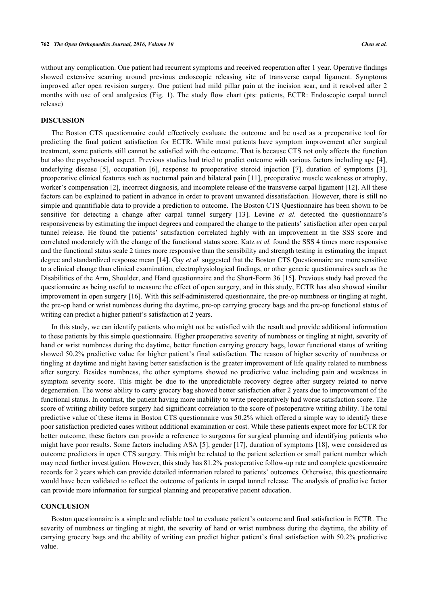without any complication. One patient had recurrent symptoms and received reoperation after 1 year. Operative findings showed extensive scarring around previous endoscopic releasing site of transverse carpal ligament. Symptoms improved after open revision surgery. One patient had mild pillar pain at the incision scar, and it resolved after 2 months with use of oral analgesics (Fig.**1**). The study flow chart (pts: patients, ECTR: Endoscopic carpal tunnel release)

## **DISCUSSION**

The Boston CTS questionnaire could effectively evaluate the outcome and be used as a preoperative tool for predicting the final patient satisfaction for ECTR. While most patients have symptom improvement after surgical treatment, some patients still cannot be satisfied with the outcome. That is because CTS not only affects the function but also the psychosocial aspect. Previous studies had tried to predict outcome with various factors including age [[4\]](#page-6-3), underlying disease[[5\]](#page-6-4), occupation[[6](#page-6-5)], response to preoperative steroid injection[[7\]](#page-6-6), duration of symptoms[[3\]](#page-6-2), preoperative clinical features such as nocturnal pain and bilateral pain [[11\]](#page-6-7), preoperative muscle weakness or atrophy, worker's compensation [[2\]](#page-6-1), incorrect diagnosis, and incomplete release of the transverse carpal ligament [[12](#page-6-8)]. All these factors can be explained to patient in advance in order to prevent unwanted dissatisfaction. However, there is still no simple and quantifiable data to provide a prediction to outcome. The Boston CTS Questionnaire has been shown to be sensitive for detecting a change after carpal tunnel surgery[[13\]](#page-6-12). Levine *et al.* detected the questionnaire's responsiveness by estimating the impact degrees and compared the change to the patients' satisfaction after open carpal tunnel release. He found the patients' satisfaction correlated highly with an improvement in the SSS score and correlated moderately with the change of the functional status score. Katz *et al.* found the SSS 4 times more responsive and the functional status scale 2 times more responsive than the sensibility and strength testing in estimating the impact degree and standardized response mean [\[14](#page-6-13)]. Gay *et al.* suggested that the Boston CTS Questionnaire are more sensitive to a clinical change than clinical examination, electrophysiological findings, or other generic questionnaires such as the Disabilities of the Arm, Shoulder, and Hand questionnaire and the Short-Form 36 [\[15](#page-7-0)]. Previous study had proved the questionnaire as being useful to measure the effect of open surgery, and in this study, ECTR has also showed similar improvement in open surgery [\[16](#page-7-1)]. With this self-administered questionnaire, the pre-op numbness or tingling at night, the pre-op hand or wrist numbness during the daytime, pre-op carrying grocery bags and the pre-op functional status of writing can predict a higher patient's satisfaction at 2 years.

In this study, we can identify patients who might not be satisfied with the result and provide additional information to these patients by this simple questionnaire. Higher preoperative severity of numbness or tingling at night, severity of hand or wrist numbness during the daytime, better function carrying grocery bags, lower functional status of writing showed 50.2% predictive value for higher patient's final satisfaction. The reason of higher severity of numbness or tingling at daytime and night having better satisfaction is the greater improvement of life quality related to numbness after surgery. Besides numbness, the other symptoms showed no predictive value including pain and weakness in symptom severity score. This might be due to the unpredictable recovery degree after surgery related to nerve degeneration. The worse ability to carry grocery bag showed better satisfaction after 2 years due to improvement of the functional status. In contrast, the patient having more inability to write preoperatively had worse satisfaction score. The score of writing ability before surgery had significant correlation to the score of postoperative writing ability. The total predictive value of these items in Boston CTS questionnaire was 50.2% which offered a simple way to identify these poor satisfaction predicted cases without additional examination or cost. While these patients expect more for ECTR for better outcome, these factors can provide a reference to surgeons for surgical planning and identifying patients who might have poor results. Some factors including ASA [\[5](#page-6-4)], gender [\[17\]](#page-7-2), duration of symptoms [\[18\]](#page-7-3), were considered as outcome predictors in open CTS surgery. This might be related to the patient selection or small patient number which may need further investigation. However, this study has 81.2% postoperative follow-up rate and complete questionnaire records for 2 years which can provide detailed information related to patients' outcomes. Otherwise, this questionnaire would have been validated to reflect the outcome of patients in carpal tunnel release. The analysis of predictive factor can provide more information for surgical planning and preoperative patient education.

# **CONCLUSION**

Boston questionnaire is a simple and reliable tool to evaluate patient's outcome and final satisfaction in ECTR. The severity of numbness or tingling at night, the severity of hand or wrist numbness during the daytime, the ability of carrying grocery bags and the ability of writing can predict higher patient's final satisfaction with 50.2% predictive value.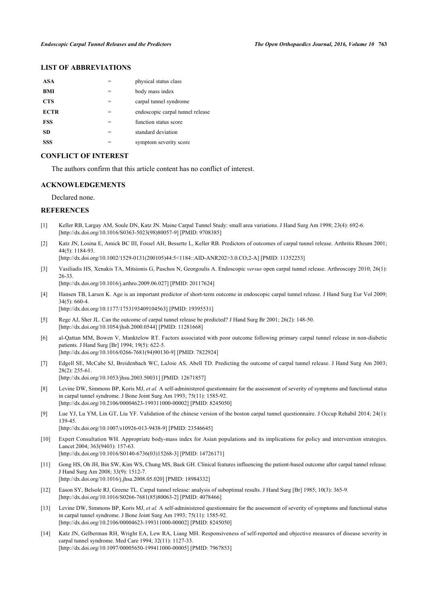# **LIST OF ABBREVIATIONS**

| ASA         |     | physical status class            |
|-------------|-----|----------------------------------|
| BMI         |     | body mass index                  |
| <b>CTS</b>  |     | carpal tunnel syndrome           |
| <b>ECTR</b> | =   | endoscopic carpal tunnel release |
| <b>FSS</b>  | $=$ | function status score            |
| SD.         | =   | standard deviation               |
| SSS         |     | symptom severity score           |

# **CONFLICT OF INTEREST**

The authors confirm that this article content has no conflict of interest.

# **ACKNOWLEDGEMENTS**

Declared none.

# **REFERENCES**

- <span id="page-6-0"></span>[1] Keller RB, Largay AM, Soule DN, Katz JN. Maine Carpal Tunnel Study: small area variations. J Hand Surg Am 1998; 23(4): 692-6. [\[http://dx.doi.org/10.1016/S0363-5023\(98\)80057-9\]](http://dx.doi.org/10.1016/S0363-5023(98)80057-9) [PMID: [9708385](http://www.ncbi.nlm.nih.gov/pubmed/9708385)]
- <span id="page-6-1"></span>[2] Katz JN, Losina E, Amick BC III, Fossel AH, Bessette L, Keller RB. Predictors of outcomes of carpal tunnel release. Arthritis Rheum 2001; 44(5): 1184-93.

[\[http://dx.doi.org/10.1002/1529-0131\(200105\)44:5<1184::AID-ANR202>3.0.CO;2-A](http://dx.doi.org/10.1002/1529-0131(200105)44:5<1184::AID-ANR202>3.0.CO;2-A)] [PMID: [11352253\]](http://www.ncbi.nlm.nih.gov/pubmed/11352253)

<span id="page-6-2"></span>[3] Vasiliadis HS, Xenakis TA, Mitsionis G, Paschos N, Georgoulis A. Endoscopic *versus* open carpal tunnel release. Arthroscopy 2010; 26(1): 26-33. [\[http://dx.doi.org/10.1016/j.arthro.2009.06.027](http://dx.doi.org/10.1016/j.arthro.2009.06.027)] [PMID: [20117624\]](http://www.ncbi.nlm.nih.gov/pubmed/20117624)

<span id="page-6-3"></span>[4] Hansen TB, Larsen K. Age is an important predictor of short-term outcome in endoscopic carpal tunnel release. J Hand Surg Eur Vol 2009;

- $34(5)$ : 660-4 [\[http://dx.doi.org/10.1177/1753193409104563\]](http://dx.doi.org/10.1177/1753193409104563) [PMID: [19395531](http://www.ncbi.nlm.nih.gov/pubmed/19395531)]
- <span id="page-6-4"></span>[5] Rege AJ, Sher JL. Can the outcome of carpal tunnel release be predicted? J Hand Surg Br 2001; 26(2): 148-50. [\[http://dx.doi.org/10.1054/jhsb.2000.0544](http://dx.doi.org/10.1054/jhsb.2000.0544)] [PMID: [11281668\]](http://www.ncbi.nlm.nih.gov/pubmed/11281668)
- <span id="page-6-5"></span>[6] al-Qattan MM, Bowen V, Manktelow RT. Factors associated with poor outcome following primary carpal tunnel release in non-diabetic patients. J Hand Surg [Br] 1994; 19(5): 622-5. [\[http://dx.doi.org/10.1016/0266-7681\(94\)90130-9](http://dx.doi.org/10.1016/0266-7681(94)90130-9)] [PMID: [7822924](http://www.ncbi.nlm.nih.gov/pubmed/7822924)]
- <span id="page-6-6"></span>[7] Edgell SE, McCabe SJ, Breidenbach WC, LaJoie AS, Abell TD. Predicting the outcome of carpal tunnel release. J Hand Surg Am 2003; 28(2): 255-61.

[\[http://dx.doi.org/10.1053/jhsu.2003.50031](http://dx.doi.org/10.1053/jhsu.2003.50031)] [PMID: [12671857\]](http://www.ncbi.nlm.nih.gov/pubmed/12671857)

- <span id="page-6-9"></span>[8] Levine DW, Simmons BP, Koris MJ, *et al.* A self-administered questionnaire for the assessment of severity of symptoms and functional status in carpal tunnel syndrome. J Bone Joint Surg Am 1993; 75(11): 1585-92. [\[http://dx.doi.org/10.2106/00004623-199311000-00002](http://dx.doi.org/10.2106/00004623-199311000-00002)] [PMID: [8245050\]](http://www.ncbi.nlm.nih.gov/pubmed/8245050)
- <span id="page-6-10"></span>[9] Lue YJ, Lu YM, Lin GT, Liu YF. Validation of the chinese version of the boston carpal tunnel questionnaire. J Occup Rehabil 2014; 24(1): 139-45.

[\[http://dx.doi.org/10.1007/s10926-013-9438-9\]](http://dx.doi.org/10.1007/s10926-013-9438-9) [PMID: [23546645](http://www.ncbi.nlm.nih.gov/pubmed/23546645)]

- <span id="page-6-11"></span>[10] Expert Consultation WH. Appropriate body-mass index for Asian populations and its implications for policy and intervention strategies. Lancet 2004; 363(9403): 157-63. [\[http://dx.doi.org/10.1016/S0140-6736\(03\)15268-3\]](http://dx.doi.org/10.1016/S0140-6736(03)15268-3) [PMID: [14726171](http://www.ncbi.nlm.nih.gov/pubmed/14726171)]
- <span id="page-6-7"></span>[11] Gong HS, Oh JH, Bin SW, Kim WS, Chung MS, Baek GH. Clinical features influencing the patient-based outcome after carpal tunnel release. J Hand Surg Am 2008; 33(9): 1512-7. [\[http://dx.doi.org/10.1016/j.jhsa.2008.05.020\]](http://dx.doi.org/10.1016/j.jhsa.2008.05.020) [PMID: [18984332](http://www.ncbi.nlm.nih.gov/pubmed/18984332)]
- <span id="page-6-8"></span>[12] Eason SY, Belsole RJ, Greene TL. Carpal tunnel release: analysis of suboptimal results. J Hand Surg [Br] 1985; 10(3): 365-9. [\[http://dx.doi.org/10.1016/S0266-7681\(85\)80063-2\]](http://dx.doi.org/10.1016/S0266-7681(85)80063-2) [PMID: [4078466](http://www.ncbi.nlm.nih.gov/pubmed/4078466)]
- <span id="page-6-12"></span>[13] Levine DW, Simmons BP, Koris MJ, *et al.* A self-administered questionnaire for the assessment of severity of symptoms and functional status in carpal tunnel syndrome. J Bone Joint Surg Am 1993; 75(11): 1585-92. [\[http://dx.doi.org/10.2106/00004623-199311000-00002](http://dx.doi.org/10.2106/00004623-199311000-00002)] [PMID: [8245050\]](http://www.ncbi.nlm.nih.gov/pubmed/8245050)
- <span id="page-6-13"></span>[14] Katz JN, Gelberman RH, Wright EA, Lew RA, Liang MH. Responsiveness of self-reported and objective measures of disease severity in carpal tunnel syndrome. Med Care 1994; 32(11): 1127-33. [\[http://dx.doi.org/10.1097/00005650-199411000-00005](http://dx.doi.org/10.1097/00005650-199411000-00005)] [PMID: [7967853\]](http://www.ncbi.nlm.nih.gov/pubmed/7967853)